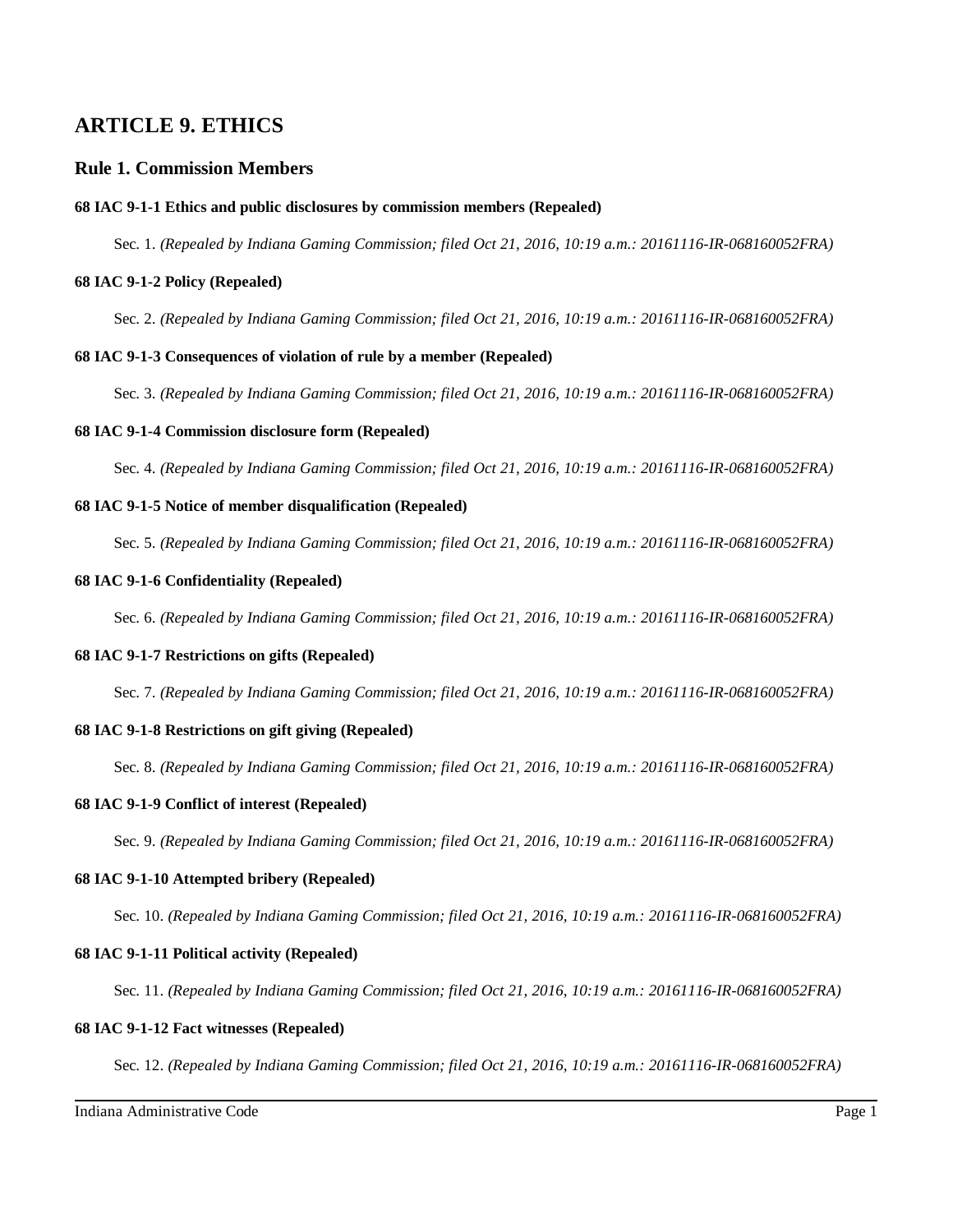# **ARTICLE 9. ETHICS**

# **Rule 1. Commission Members**

# **68 IAC 9-1-1 Ethics and public disclosures by commission members (Repealed)**

Sec. 1. *(Repealed by Indiana Gaming Commission; filed Oct 21, 2016, 10:19 a.m.: 20161116-IR-068160052FRA)*

# **68 IAC 9-1-2 Policy (Repealed)**

Sec. 2. *(Repealed by Indiana Gaming Commission; filed Oct 21, 2016, 10:19 a.m.: 20161116-IR-068160052FRA)*

# **68 IAC 9-1-3 Consequences of violation of rule by a member (Repealed)**

Sec. 3. *(Repealed by Indiana Gaming Commission; filed Oct 21, 2016, 10:19 a.m.: 20161116-IR-068160052FRA)*

# **68 IAC 9-1-4 Commission disclosure form (Repealed)**

Sec. 4. *(Repealed by Indiana Gaming Commission; filed Oct 21, 2016, 10:19 a.m.: 20161116-IR-068160052FRA)*

# **68 IAC 9-1-5 Notice of member disqualification (Repealed)**

Sec. 5. *(Repealed by Indiana Gaming Commission; filed Oct 21, 2016, 10:19 a.m.: 20161116-IR-068160052FRA)*

# **68 IAC 9-1-6 Confidentiality (Repealed)**

Sec. 6. *(Repealed by Indiana Gaming Commission; filed Oct 21, 2016, 10:19 a.m.: 20161116-IR-068160052FRA)*

# **68 IAC 9-1-7 Restrictions on gifts (Repealed)**

Sec. 7. *(Repealed by Indiana Gaming Commission; filed Oct 21, 2016, 10:19 a.m.: 20161116-IR-068160052FRA)*

# **68 IAC 9-1-8 Restrictions on gift giving (Repealed)**

Sec. 8. *(Repealed by Indiana Gaming Commission; filed Oct 21, 2016, 10:19 a.m.: 20161116-IR-068160052FRA)*

# **68 IAC 9-1-9 Conflict of interest (Repealed)**

Sec. 9. *(Repealed by Indiana Gaming Commission; filed Oct 21, 2016, 10:19 a.m.: 20161116-IR-068160052FRA)*

# **68 IAC 9-1-10 Attempted bribery (Repealed)**

Sec. 10. *(Repealed by Indiana Gaming Commission; filed Oct 21, 2016, 10:19 a.m.: 20161116-IR-068160052FRA)*

# **68 IAC 9-1-11 Political activity (Repealed)**

Sec. 11. *(Repealed by Indiana Gaming Commission; filed Oct 21, 2016, 10:19 a.m.: 20161116-IR-068160052FRA)*

# **68 IAC 9-1-12 Fact witnesses (Repealed)**

Sec. 12. *(Repealed by Indiana Gaming Commission; filed Oct 21, 2016, 10:19 a.m.: 20161116-IR-068160052FRA)*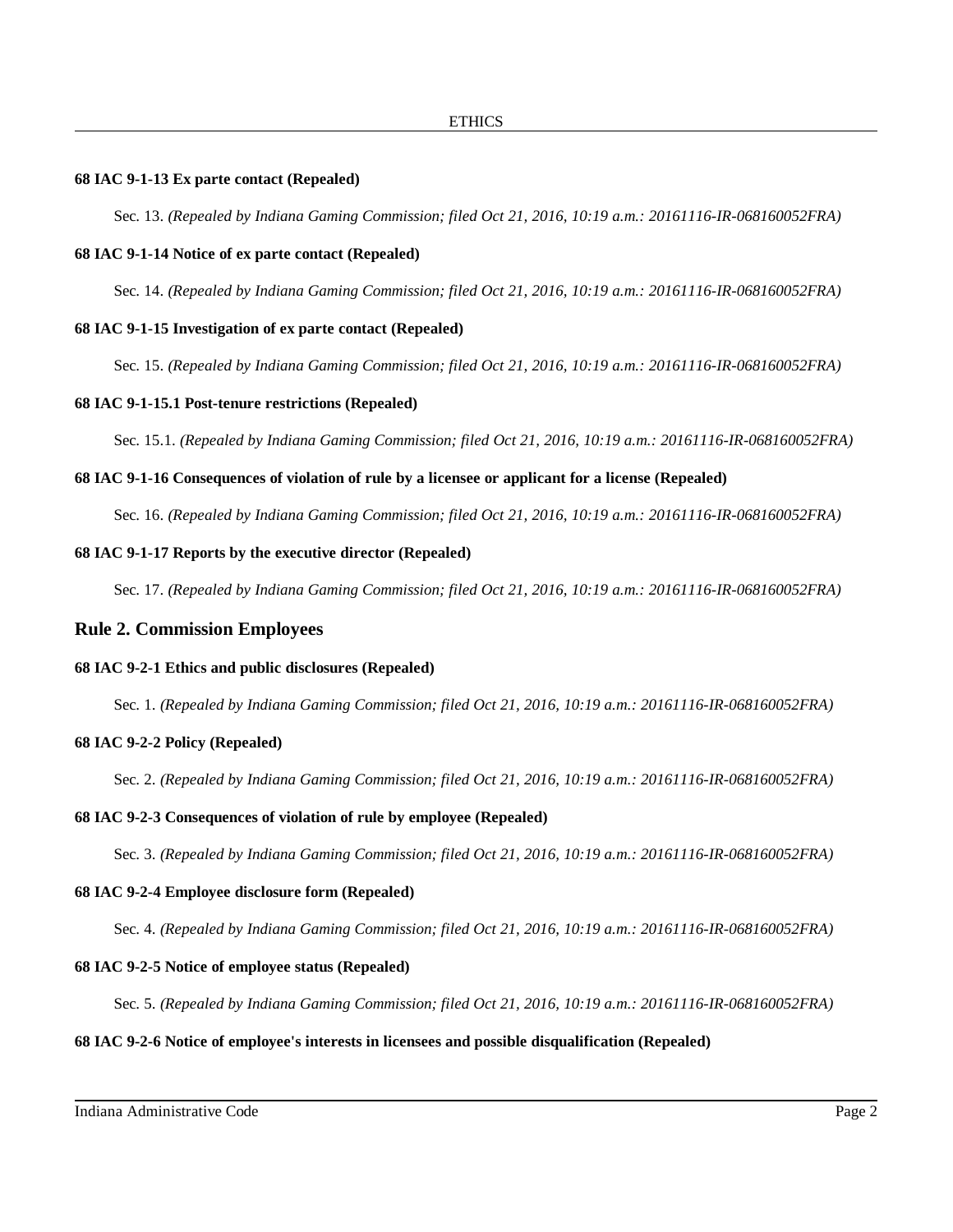# **68 IAC 9-1-13 Ex parte contact (Repealed)**

Sec. 13. *(Repealed by Indiana Gaming Commission; filed Oct 21, 2016, 10:19 a.m.: 20161116-IR-068160052FRA)*

# **68 IAC 9-1-14 Notice of ex parte contact (Repealed)**

Sec. 14. *(Repealed by Indiana Gaming Commission; filed Oct 21, 2016, 10:19 a.m.: 20161116-IR-068160052FRA)*

#### **68 IAC 9-1-15 Investigation of ex parte contact (Repealed)**

Sec. 15. *(Repealed by Indiana Gaming Commission; filed Oct 21, 2016, 10:19 a.m.: 20161116-IR-068160052FRA)*

# **68 IAC 9-1-15.1 Post-tenure restrictions (Repealed)**

Sec. 15.1. *(Repealed by Indiana Gaming Commission; filed Oct 21, 2016, 10:19 a.m.: 20161116-IR-068160052FRA)*

# **68 IAC 9-1-16 Consequences of violation of rule by a licensee or applicant for a license (Repealed)**

Sec. 16. *(Repealed by Indiana Gaming Commission; filed Oct 21, 2016, 10:19 a.m.: 20161116-IR-068160052FRA)*

#### **68 IAC 9-1-17 Reports by the executive director (Repealed)**

Sec. 17. *(Repealed by Indiana Gaming Commission; filed Oct 21, 2016, 10:19 a.m.: 20161116-IR-068160052FRA)*

# **Rule 2. Commission Employees**

# **68 IAC 9-2-1 Ethics and public disclosures (Repealed)**

Sec. 1. *(Repealed by Indiana Gaming Commission; filed Oct 21, 2016, 10:19 a.m.: 20161116-IR-068160052FRA)*

# **68 IAC 9-2-2 Policy (Repealed)**

Sec. 2. *(Repealed by Indiana Gaming Commission; filed Oct 21, 2016, 10:19 a.m.: 20161116-IR-068160052FRA)*

# **68 IAC 9-2-3 Consequences of violation of rule by employee (Repealed)**

Sec. 3. *(Repealed by Indiana Gaming Commission; filed Oct 21, 2016, 10:19 a.m.: 20161116-IR-068160052FRA)*

#### **68 IAC 9-2-4 Employee disclosure form (Repealed)**

Sec. 4. *(Repealed by Indiana Gaming Commission; filed Oct 21, 2016, 10:19 a.m.: 20161116-IR-068160052FRA)*

# **68 IAC 9-2-5 Notice of employee status (Repealed)**

Sec. 5. *(Repealed by Indiana Gaming Commission; filed Oct 21, 2016, 10:19 a.m.: 20161116-IR-068160052FRA)*

### **68 IAC 9-2-6 Notice of employee's interests in licensees and possible disqualification (Repealed)**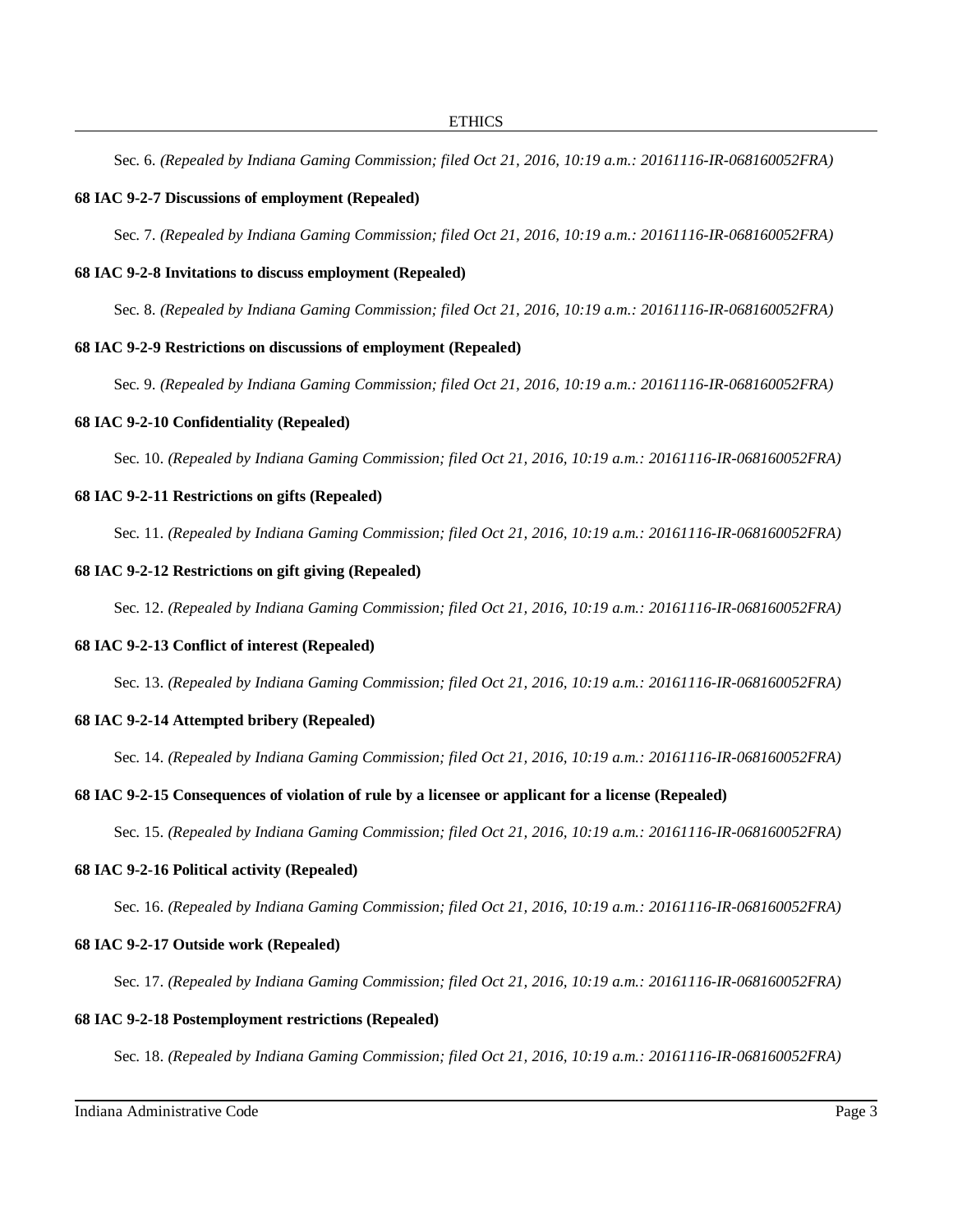Sec. 6. *(Repealed by Indiana Gaming Commission; filed Oct 21, 2016, 10:19 a.m.: 20161116-IR-068160052FRA)*

# **68 IAC 9-2-7 Discussions of employment (Repealed)**

Sec. 7. *(Repealed by Indiana Gaming Commission; filed Oct 21, 2016, 10:19 a.m.: 20161116-IR-068160052FRA)*

# **68 IAC 9-2-8 Invitations to discuss employment (Repealed)**

Sec. 8. *(Repealed by Indiana Gaming Commission; filed Oct 21, 2016, 10:19 a.m.: 20161116-IR-068160052FRA)*

#### **68 IAC 9-2-9 Restrictions on discussions of employment (Repealed)**

Sec. 9. *(Repealed by Indiana Gaming Commission; filed Oct 21, 2016, 10:19 a.m.: 20161116-IR-068160052FRA)*

#### **68 IAC 9-2-10 Confidentiality (Repealed)**

Sec. 10. *(Repealed by Indiana Gaming Commission; filed Oct 21, 2016, 10:19 a.m.: 20161116-IR-068160052FRA)*

# **68 IAC 9-2-11 Restrictions on gifts (Repealed)**

Sec. 11. *(Repealed by Indiana Gaming Commission; filed Oct 21, 2016, 10:19 a.m.: 20161116-IR-068160052FRA)*

# **68 IAC 9-2-12 Restrictions on gift giving (Repealed)**

Sec. 12. *(Repealed by Indiana Gaming Commission; filed Oct 21, 2016, 10:19 a.m.: 20161116-IR-068160052FRA)*

#### **68 IAC 9-2-13 Conflict of interest (Repealed)**

Sec. 13. *(Repealed by Indiana Gaming Commission; filed Oct 21, 2016, 10:19 a.m.: 20161116-IR-068160052FRA)*

#### **68 IAC 9-2-14 Attempted bribery (Repealed)**

Sec. 14. *(Repealed by Indiana Gaming Commission; filed Oct 21, 2016, 10:19 a.m.: 20161116-IR-068160052FRA)*

#### **68 IAC 9-2-15 Consequences of violation of rule by a licensee or applicant for a license (Repealed)**

Sec. 15. *(Repealed by Indiana Gaming Commission; filed Oct 21, 2016, 10:19 a.m.: 20161116-IR-068160052FRA)*

# **68 IAC 9-2-16 Political activity (Repealed)**

Sec. 16. *(Repealed by Indiana Gaming Commission; filed Oct 21, 2016, 10:19 a.m.: 20161116-IR-068160052FRA)*

#### **68 IAC 9-2-17 Outside work (Repealed)**

Sec. 17. *(Repealed by Indiana Gaming Commission; filed Oct 21, 2016, 10:19 a.m.: 20161116-IR-068160052FRA)*

# **68 IAC 9-2-18 Postemployment restrictions (Repealed)**

Sec. 18. *(Repealed by Indiana Gaming Commission; filed Oct 21, 2016, 10:19 a.m.: 20161116-IR-068160052FRA)*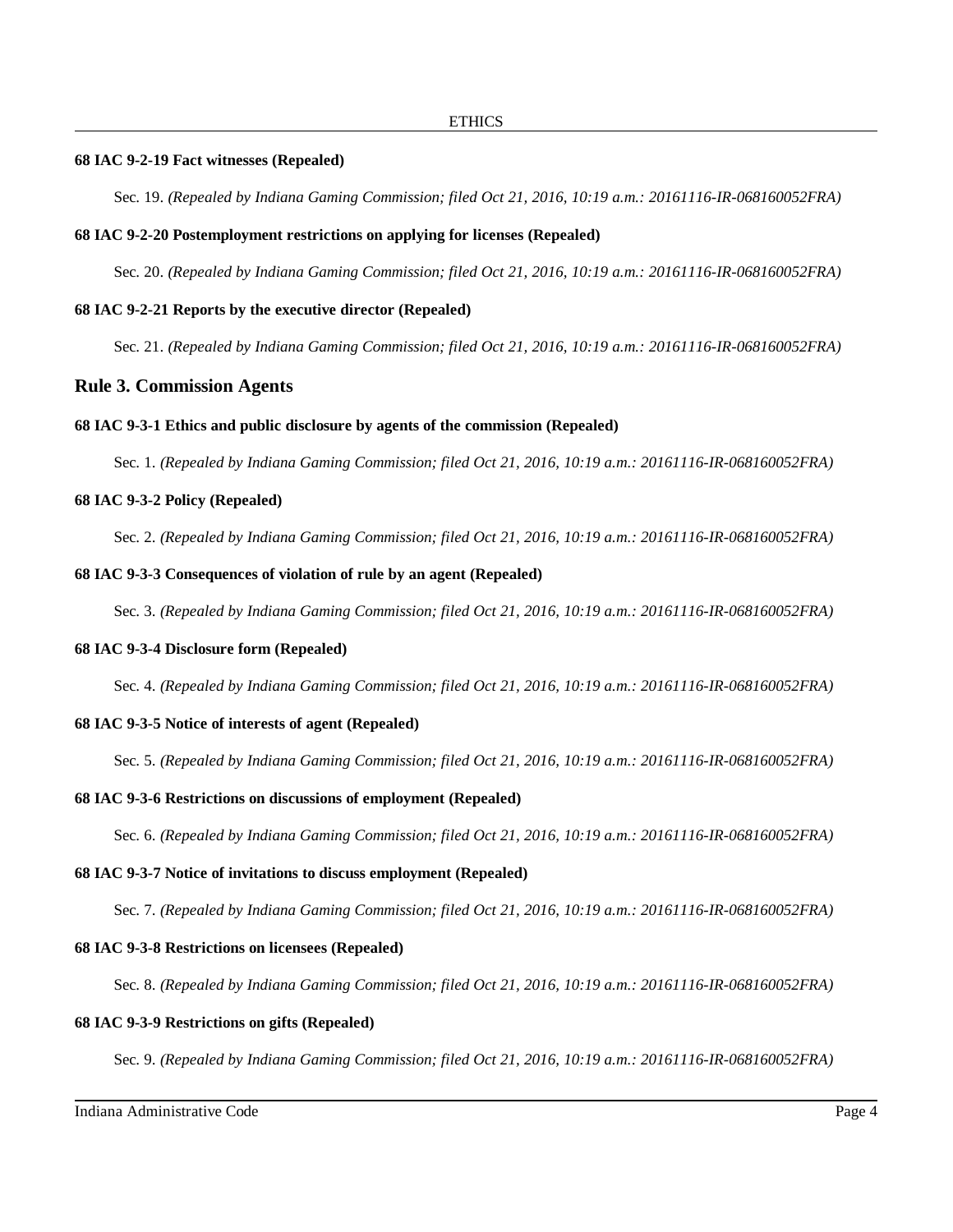#### **68 IAC 9-2-19 Fact witnesses (Repealed)**

Sec. 19. *(Repealed by Indiana Gaming Commission; filed Oct 21, 2016, 10:19 a.m.: 20161116-IR-068160052FRA)*

#### **68 IAC 9-2-20 Postemployment restrictions on applying for licenses (Repealed)**

Sec. 20. *(Repealed by Indiana Gaming Commission; filed Oct 21, 2016, 10:19 a.m.: 20161116-IR-068160052FRA)*

#### **68 IAC 9-2-21 Reports by the executive director (Repealed)**

Sec. 21. *(Repealed by Indiana Gaming Commission; filed Oct 21, 2016, 10:19 a.m.: 20161116-IR-068160052FRA)*

# **Rule 3. Commission Agents**

#### **68 IAC 9-3-1 Ethics and public disclosure by agents of the commission (Repealed)**

Sec. 1. *(Repealed by Indiana Gaming Commission; filed Oct 21, 2016, 10:19 a.m.: 20161116-IR-068160052FRA)*

#### **68 IAC 9-3-2 Policy (Repealed)**

Sec. 2. *(Repealed by Indiana Gaming Commission; filed Oct 21, 2016, 10:19 a.m.: 20161116-IR-068160052FRA)*

### **68 IAC 9-3-3 Consequences of violation of rule by an agent (Repealed)**

Sec. 3. *(Repealed by Indiana Gaming Commission; filed Oct 21, 2016, 10:19 a.m.: 20161116-IR-068160052FRA)*

# **68 IAC 9-3-4 Disclosure form (Repealed)**

Sec. 4. *(Repealed by Indiana Gaming Commission; filed Oct 21, 2016, 10:19 a.m.: 20161116-IR-068160052FRA)*

# **68 IAC 9-3-5 Notice of interests of agent (Repealed)**

Sec. 5. *(Repealed by Indiana Gaming Commission; filed Oct 21, 2016, 10:19 a.m.: 20161116-IR-068160052FRA)*

#### **68 IAC 9-3-6 Restrictions on discussions of employment (Repealed)**

Sec. 6. *(Repealed by Indiana Gaming Commission; filed Oct 21, 2016, 10:19 a.m.: 20161116-IR-068160052FRA)*

# **68 IAC 9-3-7 Notice of invitations to discuss employment (Repealed)**

Sec. 7. *(Repealed by Indiana Gaming Commission; filed Oct 21, 2016, 10:19 a.m.: 20161116-IR-068160052FRA)*

# **68 IAC 9-3-8 Restrictions on licensees (Repealed)**

Sec. 8. *(Repealed by Indiana Gaming Commission; filed Oct 21, 2016, 10:19 a.m.: 20161116-IR-068160052FRA)*

# **68 IAC 9-3-9 Restrictions on gifts (Repealed)**

Sec. 9. *(Repealed by Indiana Gaming Commission; filed Oct 21, 2016, 10:19 a.m.: 20161116-IR-068160052FRA)*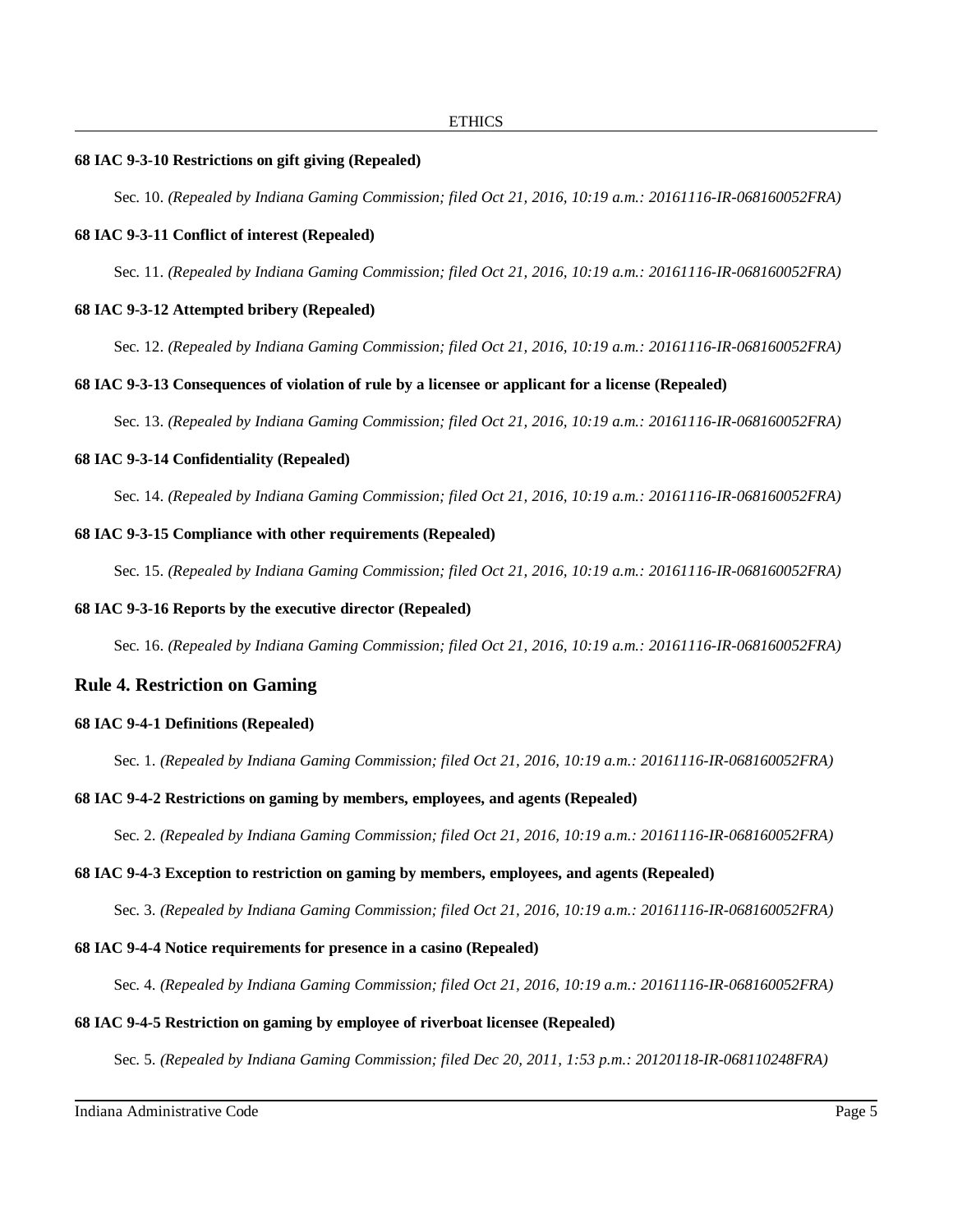### **68 IAC 9-3-10 Restrictions on gift giving (Repealed)**

Sec. 10. *(Repealed by Indiana Gaming Commission; filed Oct 21, 2016, 10:19 a.m.: 20161116-IR-068160052FRA)*

#### **68 IAC 9-3-11 Conflict of interest (Repealed)**

Sec. 11. *(Repealed by Indiana Gaming Commission; filed Oct 21, 2016, 10:19 a.m.: 20161116-IR-068160052FRA)*

# **68 IAC 9-3-12 Attempted bribery (Repealed)**

Sec. 12. *(Repealed by Indiana Gaming Commission; filed Oct 21, 2016, 10:19 a.m.: 20161116-IR-068160052FRA)*

#### **68 IAC 9-3-13 Consequences of violation of rule by a licensee or applicant for a license (Repealed)**

Sec. 13. *(Repealed by Indiana Gaming Commission; filed Oct 21, 2016, 10:19 a.m.: 20161116-IR-068160052FRA)*

# **68 IAC 9-3-14 Confidentiality (Repealed)**

Sec. 14. *(Repealed by Indiana Gaming Commission; filed Oct 21, 2016, 10:19 a.m.: 20161116-IR-068160052FRA)*

#### **68 IAC 9-3-15 Compliance with other requirements (Repealed)**

Sec. 15. *(Repealed by Indiana Gaming Commission; filed Oct 21, 2016, 10:19 a.m.: 20161116-IR-068160052FRA)*

# **68 IAC 9-3-16 Reports by the executive director (Repealed)**

Sec. 16. *(Repealed by Indiana Gaming Commission; filed Oct 21, 2016, 10:19 a.m.: 20161116-IR-068160052FRA)*

# **Rule 4. Restriction on Gaming**

#### **68 IAC 9-4-1 Definitions (Repealed)**

Sec. 1. *(Repealed by Indiana Gaming Commission; filed Oct 21, 2016, 10:19 a.m.: 20161116-IR-068160052FRA)*

#### **68 IAC 9-4-2 Restrictions on gaming by members, employees, and agents (Repealed)**

Sec. 2. *(Repealed by Indiana Gaming Commission; filed Oct 21, 2016, 10:19 a.m.: 20161116-IR-068160052FRA)*

# **68 IAC 9-4-3 Exception to restriction on gaming by members, employees, and agents (Repealed)**

Sec. 3. *(Repealed by Indiana Gaming Commission; filed Oct 21, 2016, 10:19 a.m.: 20161116-IR-068160052FRA)*

#### **68 IAC 9-4-4 Notice requirements for presence in a casino (Repealed)**

Sec. 4. *(Repealed by Indiana Gaming Commission; filed Oct 21, 2016, 10:19 a.m.: 20161116-IR-068160052FRA)*

# **68 IAC 9-4-5 Restriction on gaming by employee of riverboat licensee (Repealed)**

Sec. 5. *(Repealed by Indiana Gaming Commission; filed Dec 20, 2011, 1:53 p.m.: 20120118-IR-068110248FRA)*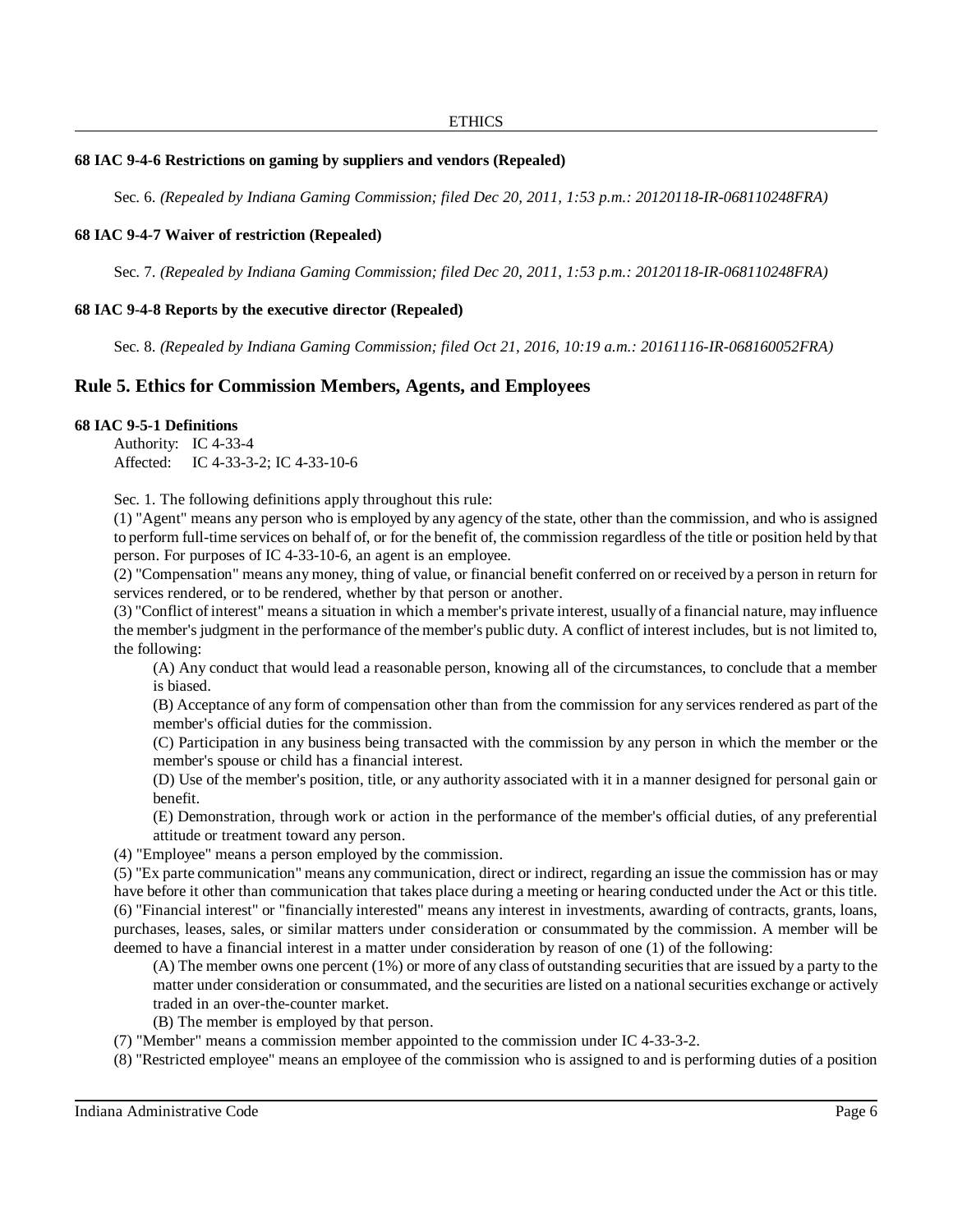# **68 IAC 9-4-6 Restrictions on gaming by suppliers and vendors (Repealed)**

Sec. 6. *(Repealed by Indiana Gaming Commission; filed Dec 20, 2011, 1:53 p.m.: 20120118-IR-068110248FRA)*

# **68 IAC 9-4-7 Waiver of restriction (Repealed)**

Sec. 7. *(Repealed by Indiana Gaming Commission; filed Dec 20, 2011, 1:53 p.m.: 20120118-IR-068110248FRA)*

# **68 IAC 9-4-8 Reports by the executive director (Repealed)**

Sec. 8. *(Repealed by Indiana Gaming Commission; filed Oct 21, 2016, 10:19 a.m.: 20161116-IR-068160052FRA)*

# **Rule 5. Ethics for Commission Members, Agents, and Employees**

# **68 IAC 9-5-1 Definitions**

Authority: IC 4-33-4 Affected: IC 4-33-3-2; IC 4-33-10-6

Sec. 1. The following definitions apply throughout this rule:

(1) "Agent" means any person who is employed by any agency of the state, other than the commission, and who is assigned to perform full-time services on behalf of, or for the benefit of, the commission regardless of the title or position held by that person. For purposes of IC 4-33-10-6, an agent is an employee.

(2) "Compensation" means any money, thing of value, or financial benefit conferred on or received by a person in return for services rendered, or to be rendered, whether by that person or another.

(3) "Conflict of interest" means a situation in which a member's private interest, usually of a financial nature, may influence the member's judgment in the performance of the member's public duty. A conflict of interest includes, but is not limited to, the following:

(A) Any conduct that would lead a reasonable person, knowing all of the circumstances, to conclude that a member is biased.

(B) Acceptance of any form of compensation other than from the commission for any services rendered as part of the member's official duties for the commission.

(C) Participation in any business being transacted with the commission by any person in which the member or the member's spouse or child has a financial interest.

(D) Use of the member's position, title, or any authority associated with it in a manner designed for personal gain or benefit.

(E) Demonstration, through work or action in the performance of the member's official duties, of any preferential attitude or treatment toward any person.

(4) "Employee" means a person employed by the commission.

(5) "Ex parte communication" means any communication, direct or indirect, regarding an issue the commission has or may have before it other than communication that takes place during a meeting or hearing conducted under the Act or this title. (6) "Financial interest" or "financially interested" means any interest in investments, awarding of contracts, grants, loans, purchases, leases, sales, or similar matters under consideration or consummated by the commission. A member will be deemed to have a financial interest in a matter under consideration by reason of one (1) of the following:

(A) The member owns one percent (1%) or more of any class of outstanding securitiesthat are issued by a party to the matter under consideration or consummated, and the securities are listed on a national securities exchange or actively traded in an over-the-counter market.

(B) The member is employed by that person.

(7) "Member" means a commission member appointed to the commission under IC 4-33-3-2.

(8) "Restricted employee" means an employee of the commission who is assigned to and is performing duties of a position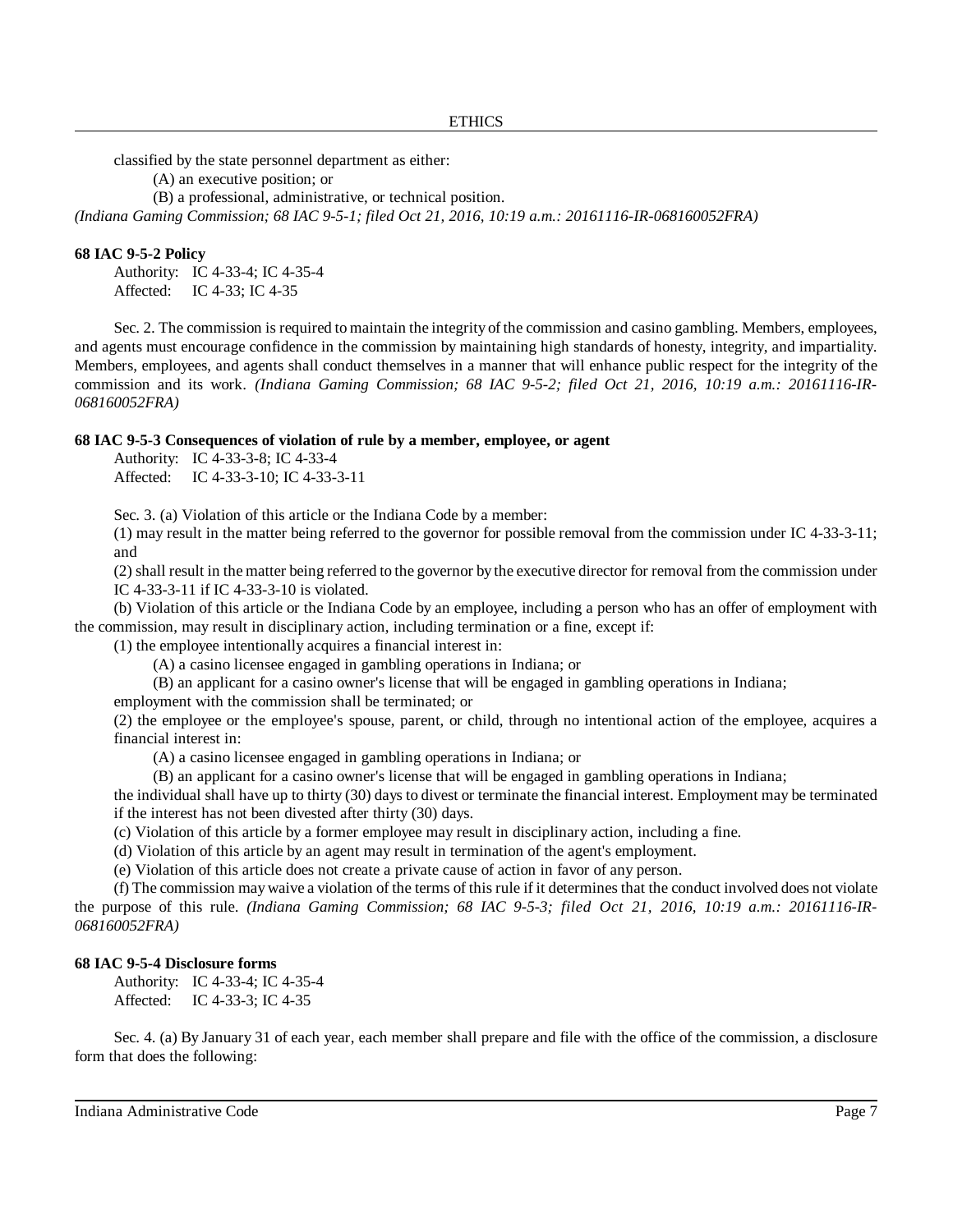classified by the state personnel department as either:

(A) an executive position; or

(B) a professional, administrative, or technical position.

*(Indiana Gaming Commission; 68 IAC 9-5-1; filed Oct 21, 2016, 10:19 a.m.: 20161116-IR-068160052FRA)*

#### **68 IAC 9-5-2 Policy**

Authority: IC 4-33-4; IC 4-35-4 Affected: IC 4-33; IC 4-35

Sec. 2. The commission is required to maintain the integrity of the commission and casino gambling. Members, employees, and agents must encourage confidence in the commission by maintaining high standards of honesty, integrity, and impartiality. Members, employees, and agents shall conduct themselves in a manner that will enhance public respect for the integrity of the commission and its work. *(Indiana Gaming Commission; 68 IAC 9-5-2; filed Oct 21, 2016, 10:19 a.m.: 20161116-IR-068160052FRA)*

#### **68 IAC 9-5-3 Consequences of violation of rule by a member, employee, or agent**

Authority: IC 4-33-3-8; IC 4-33-4 Affected: IC 4-33-3-10; IC 4-33-3-11

Sec. 3. (a) Violation of this article or the Indiana Code by a member:

(1) may result in the matter being referred to the governor for possible removal from the commission under IC 4-33-3-11; and

(2) shall result in the matter being referred to the governor by the executive director for removal from the commission under IC 4-33-3-11 if IC 4-33-3-10 is violated.

(b) Violation of this article or the Indiana Code by an employee, including a person who has an offer of employment with the commission, may result in disciplinary action, including termination or a fine, except if:

(1) the employee intentionally acquires a financial interest in:

(A) a casino licensee engaged in gambling operations in Indiana; or

(B) an applicant for a casino owner's license that will be engaged in gambling operations in Indiana;

employment with the commission shall be terminated; or

(2) the employee or the employee's spouse, parent, or child, through no intentional action of the employee, acquires a financial interest in:

(A) a casino licensee engaged in gambling operations in Indiana; or

(B) an applicant for a casino owner's license that will be engaged in gambling operations in Indiana;

the individual shall have up to thirty (30) days to divest or terminate the financial interest. Employment may be terminated if the interest has not been divested after thirty (30) days.

(c) Violation of this article by a former employee may result in disciplinary action, including a fine.

(d) Violation of this article by an agent may result in termination of the agent's employment.

(e) Violation of this article does not create a private cause of action in favor of any person.

(f) The commission may waive a violation of the terms of this rule if it determines that the conduct involved does not violate the purpose of this rule. *(Indiana Gaming Commission; 68 IAC 9-5-3; filed Oct 21, 2016, 10:19 a.m.: 20161116-IR-068160052FRA)*

### **68 IAC 9-5-4 Disclosure forms**

Authority: IC 4-33-4; IC 4-35-4 Affected: IC 4-33-3; IC 4-35

Sec. 4. (a) By January 31 of each year, each member shall prepare and file with the office of the commission, a disclosure form that does the following: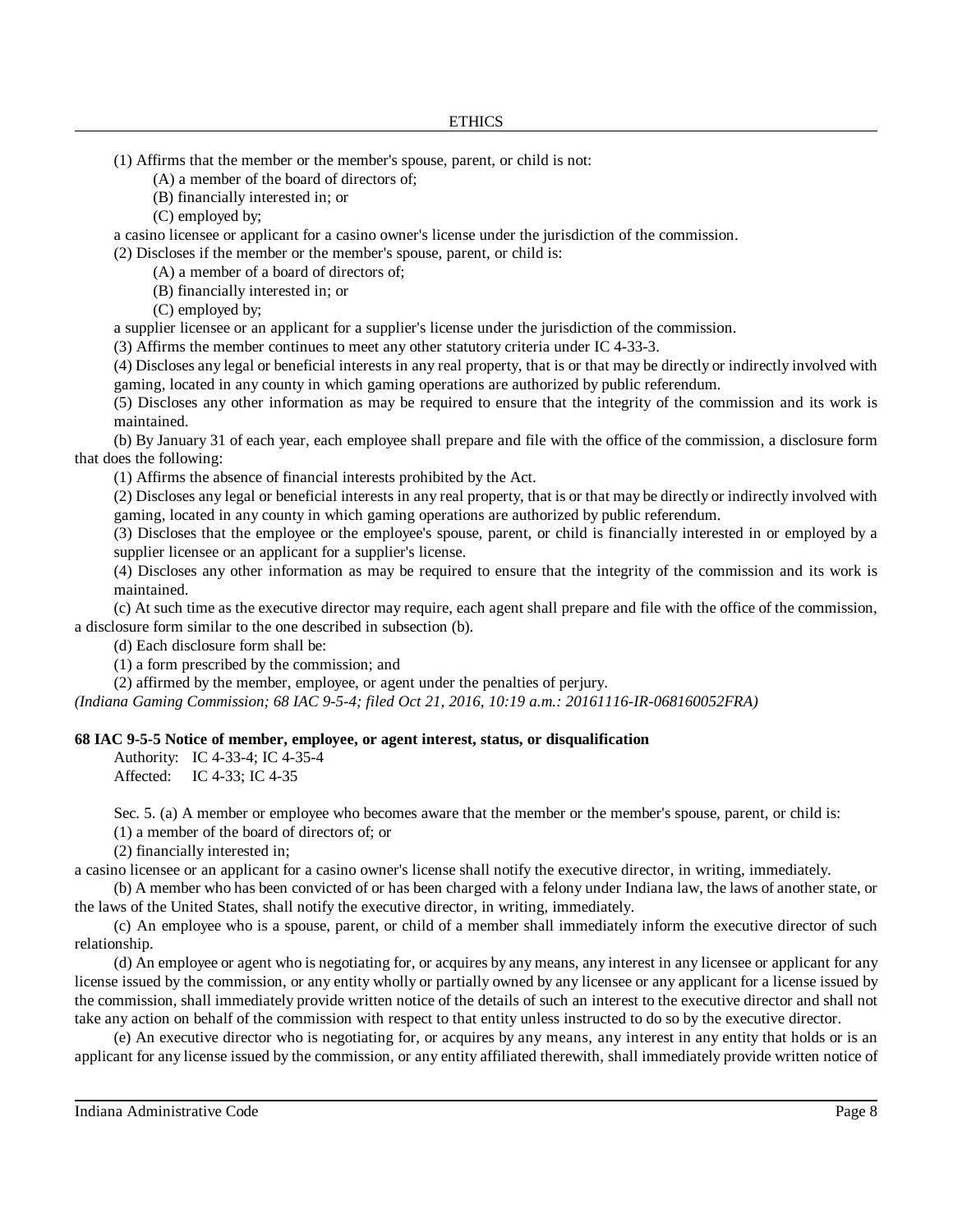(1) Affirms that the member or the member's spouse, parent, or child is not:

(A) a member of the board of directors of;

(B) financially interested in; or

(C) employed by;

a casino licensee or applicant for a casino owner's license under the jurisdiction of the commission.

(2) Discloses if the member or the member's spouse, parent, or child is:

(A) a member of a board of directors of;

(B) financially interested in; or

(C) employed by;

a supplier licensee or an applicant for a supplier's license under the jurisdiction of the commission.

(3) Affirms the member continues to meet any other statutory criteria under IC 4-33-3.

(4) Discloses any legal or beneficial interests in any real property, that is or that may be directly or indirectly involved with gaming, located in any county in which gaming operations are authorized by public referendum.

(5) Discloses any other information as may be required to ensure that the integrity of the commission and its work is maintained.

(b) By January 31 of each year, each employee shall prepare and file with the office of the commission, a disclosure form that does the following:

(1) Affirms the absence of financial interests prohibited by the Act.

(2) Discloses any legal or beneficial interests in any real property, that is or that may be directly or indirectly involved with gaming, located in any county in which gaming operations are authorized by public referendum.

(3) Discloses that the employee or the employee's spouse, parent, or child is financially interested in or employed by a supplier licensee or an applicant for a supplier's license.

(4) Discloses any other information as may be required to ensure that the integrity of the commission and its work is maintained.

(c) At such time as the executive director may require, each agent shall prepare and file with the office of the commission, a disclosure form similar to the one described in subsection (b).

(d) Each disclosure form shall be:

(1) a form prescribed by the commission; and

(2) affirmed by the member, employee, or agent under the penalties of perjury.

*(Indiana Gaming Commission; 68 IAC 9-5-4; filed Oct 21, 2016, 10:19 a.m.: 20161116-IR-068160052FRA)*

# **68 IAC 9-5-5 Notice of member, employee, or agent interest, status, or disqualification**

Authority: IC 4-33-4; IC 4-35-4

Affected: IC 4-33; IC 4-35

Sec. 5. (a) A member or employee who becomes aware that the member or the member's spouse, parent, or child is:

(1) a member of the board of directors of; or

(2) financially interested in;

a casino licensee or an applicant for a casino owner's license shall notify the executive director, in writing, immediately.

(b) A member who has been convicted of or has been charged with a felony under Indiana law, the laws of another state, or the laws of the United States, shall notify the executive director, in writing, immediately.

(c) An employee who is a spouse, parent, or child of a member shall immediately inform the executive director of such relationship.

(d) An employee or agent who is negotiating for, or acquires by any means, any interest in any licensee or applicant for any license issued by the commission, or any entity wholly or partially owned by any licensee or any applicant for a license issued by the commission, shall immediately provide written notice of the details of such an interest to the executive director and shall not take any action on behalf of the commission with respect to that entity unless instructed to do so by the executive director.

(e) An executive director who is negotiating for, or acquires by any means, any interest in any entity that holds or is an applicant for any license issued by the commission, or any entity affiliated therewith, shall immediately provide written notice of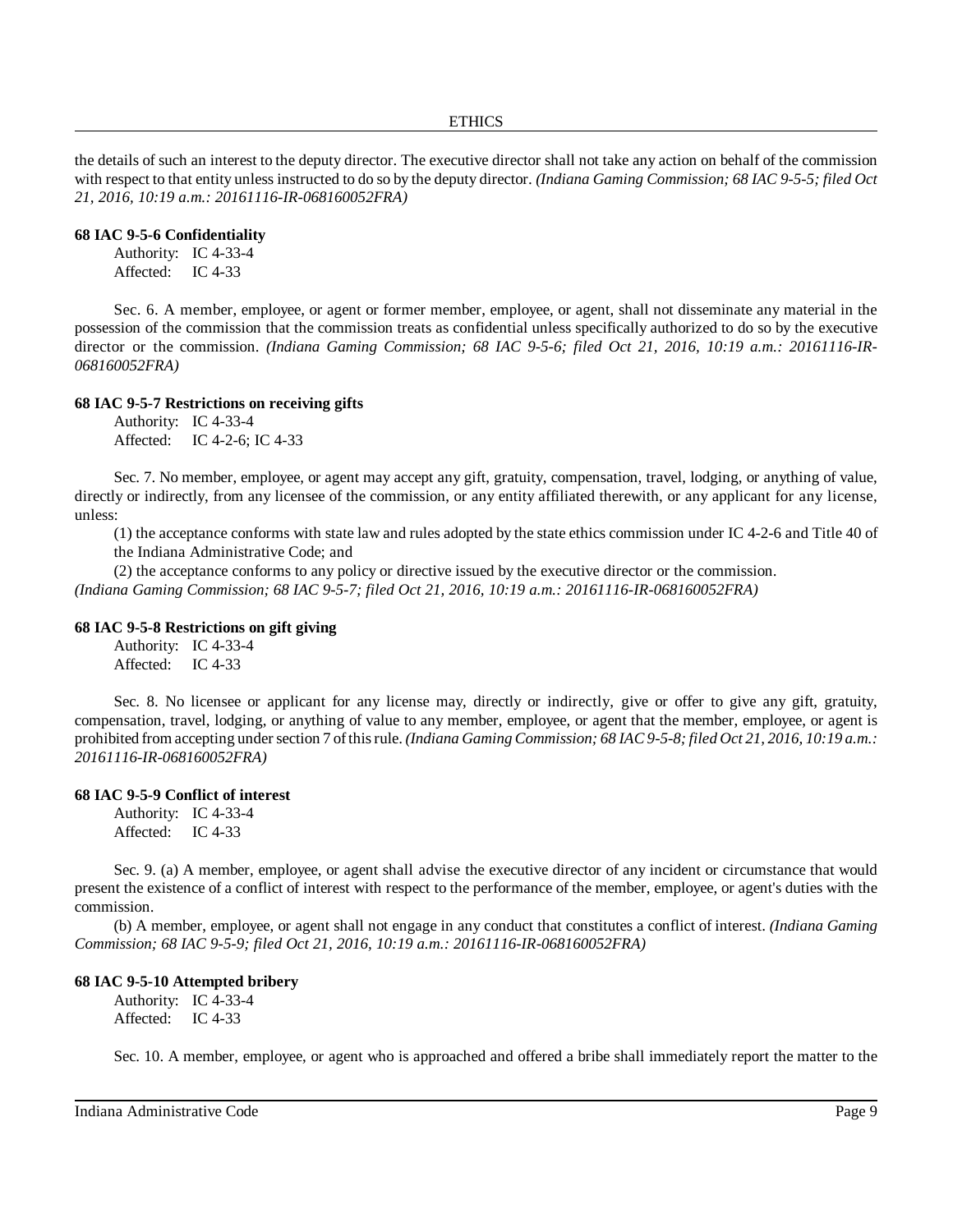the details of such an interest to the deputy director. The executive director shall not take any action on behalf of the commission with respect to that entity unless instructed to do so by the deputy director. *(Indiana Gaming Commission; 68 IAC 9-5-5; filed Oct 21, 2016, 10:19 a.m.: 20161116-IR-068160052FRA)*

# **68 IAC 9-5-6 Confidentiality**

Authority: IC 4-33-4 Affected: IC 4-33

Sec. 6. A member, employee, or agent or former member, employee, or agent, shall not disseminate any material in the possession of the commission that the commission treats as confidential unless specifically authorized to do so by the executive director or the commission. *(Indiana Gaming Commission; 68 IAC 9-5-6; filed Oct 21, 2016, 10:19 a.m.: 20161116-IR-068160052FRA)*

# **68 IAC 9-5-7 Restrictions on receiving gifts**

Authority: IC 4-33-4 Affected: IC 4-2-6; IC 4-33

Sec. 7. No member, employee, or agent may accept any gift, gratuity, compensation, travel, lodging, or anything of value, directly or indirectly, from any licensee of the commission, or any entity affiliated therewith, or any applicant for any license, unless:

(1) the acceptance conforms with state law and rules adopted by the state ethics commission under IC 4-2-6 and Title 40 of the Indiana Administrative Code; and

(2) the acceptance conforms to any policy or directive issued by the executive director or the commission. *(Indiana Gaming Commission; 68 IAC 9-5-7; filed Oct 21, 2016, 10:19 a.m.: 20161116-IR-068160052FRA)*

# **68 IAC 9-5-8 Restrictions on gift giving**

Authority: IC 4-33-4 Affected: IC 4-33

Sec. 8. No licensee or applicant for any license may, directly or indirectly, give or offer to give any gift, gratuity, compensation, travel, lodging, or anything of value to any member, employee, or agent that the member, employee, or agent is prohibited from accepting undersection 7 ofthisrule. *(Indiana Gaming Commission; 68 IAC 9-5-8; filed Oct 21, 2016, 10:19 a.m.: 20161116-IR-068160052FRA)*

# **68 IAC 9-5-9 Conflict of interest**

Authority: IC 4-33-4 Affected: IC 4-33

Sec. 9. (a) A member, employee, or agent shall advise the executive director of any incident or circumstance that would present the existence of a conflict of interest with respect to the performance of the member, employee, or agent's duties with the commission.

(b) A member, employee, or agent shall not engage in any conduct that constitutes a conflict of interest. *(Indiana Gaming Commission; 68 IAC 9-5-9; filed Oct 21, 2016, 10:19 a.m.: 20161116-IR-068160052FRA)*

# **68 IAC 9-5-10 Attempted bribery**

Authority: IC 4-33-4 Affected: IC 4-33

Sec. 10. A member, employee, or agent who is approached and offered a bribe shall immediately report the matter to the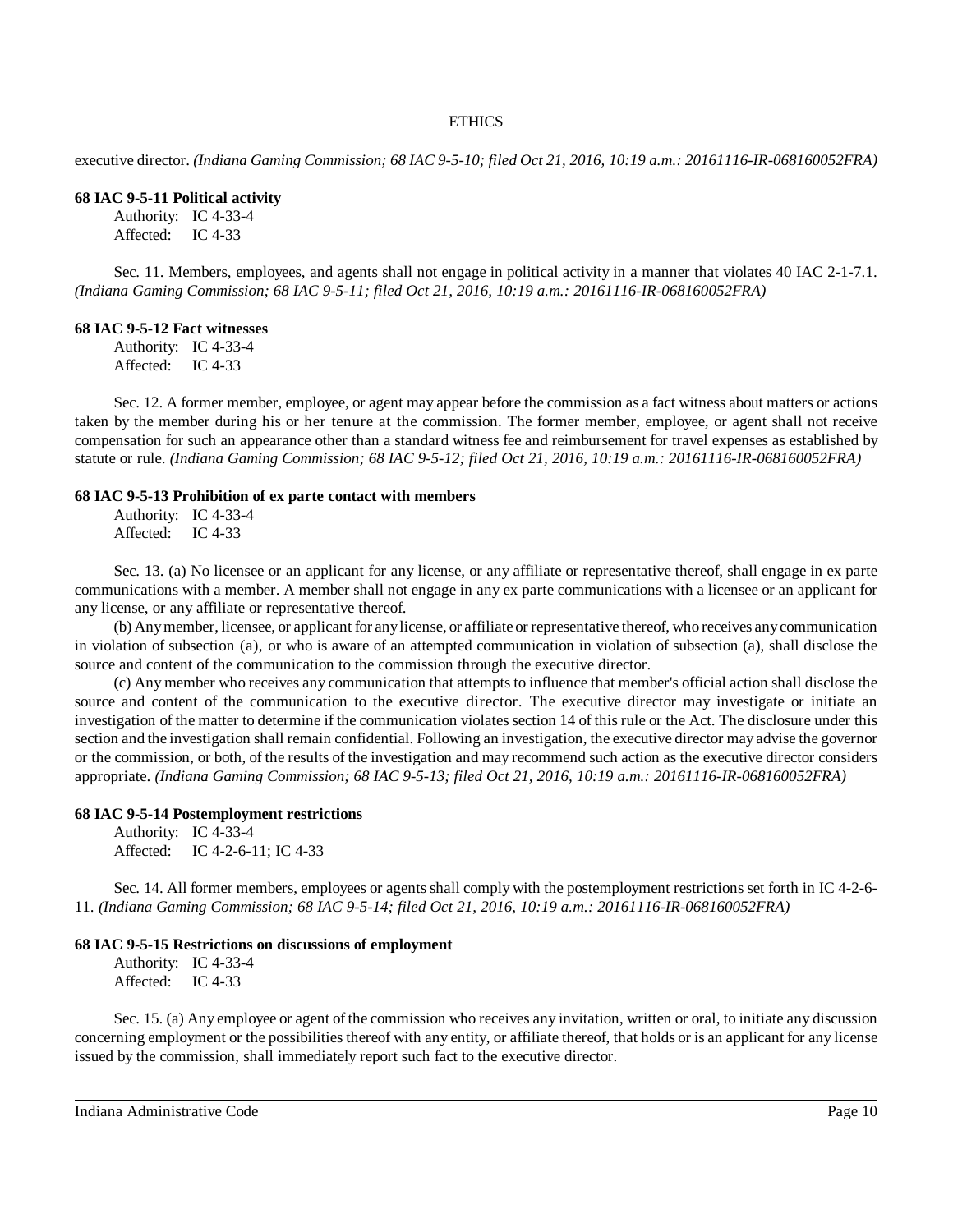executive director. *(Indiana Gaming Commission; 68 IAC 9-5-10; filed Oct 21, 2016, 10:19 a.m.: 20161116-IR-068160052FRA)*

#### **68 IAC 9-5-11 Political activity**

Authority: IC 4-33-4 Affected: IC 4-33

Sec. 11. Members, employees, and agents shall not engage in political activity in a manner that violates 40 IAC 2-1-7.1. *(Indiana Gaming Commission; 68 IAC 9-5-11; filed Oct 21, 2016, 10:19 a.m.: 20161116-IR-068160052FRA)*

#### **68 IAC 9-5-12 Fact witnesses**

Authority: IC 4-33-4 Affected: IC 4-33

Sec. 12. A former member, employee, or agent may appear before the commission as a fact witness about matters or actions taken by the member during his or her tenure at the commission. The former member, employee, or agent shall not receive compensation for such an appearance other than a standard witness fee and reimbursement for travel expenses as established by statute or rule. *(Indiana Gaming Commission; 68 IAC 9-5-12; filed Oct 21, 2016, 10:19 a.m.: 20161116-IR-068160052FRA)*

#### **68 IAC 9-5-13 Prohibition of ex parte contact with members**

Authority: IC 4-33-4 Affected: IC 4-33

Sec. 13. (a) No licensee or an applicant for any license, or any affiliate or representative thereof, shall engage in ex parte communications with a member. A member shall not engage in any ex parte communications with a licensee or an applicant for any license, or any affiliate or representative thereof.

(b) Anymember, licensee, or applicant for anylicense, or affiliate or representative thereof, who receives anycommunication in violation of subsection (a), or who is aware of an attempted communication in violation of subsection (a), shall disclose the source and content of the communication to the commission through the executive director.

(c) Any member who receives any communication that attempts to influence that member's official action shall disclose the source and content of the communication to the executive director. The executive director may investigate or initiate an investigation of the matter to determine if the communication violates section 14 of this rule or the Act. The disclosure under this section and the investigation shall remain confidential. Following an investigation, the executive director may advise the governor or the commission, or both, of the results of the investigation and may recommend such action as the executive director considers appropriate. *(Indiana Gaming Commission; 68 IAC 9-5-13; filed Oct 21, 2016, 10:19 a.m.: 20161116-IR-068160052FRA)*

#### **68 IAC 9-5-14 Postemployment restrictions**

Authority: IC 4-33-4 Affected: IC 4-2-6-11; IC 4-33

Sec. 14. All former members, employees or agents shall comply with the postemployment restrictions set forth in IC 4-2-6- 11. *(Indiana Gaming Commission; 68 IAC 9-5-14; filed Oct 21, 2016, 10:19 a.m.: 20161116-IR-068160052FRA)*

#### **68 IAC 9-5-15 Restrictions on discussions of employment**

Authority: IC 4-33-4 Affected: IC 4-33

Sec. 15. (a) Any employee or agent of the commission who receives any invitation, written or oral, to initiate any discussion concerning employment or the possibilities thereof with any entity, or affiliate thereof, that holds or is an applicant for any license issued by the commission, shall immediately report such fact to the executive director.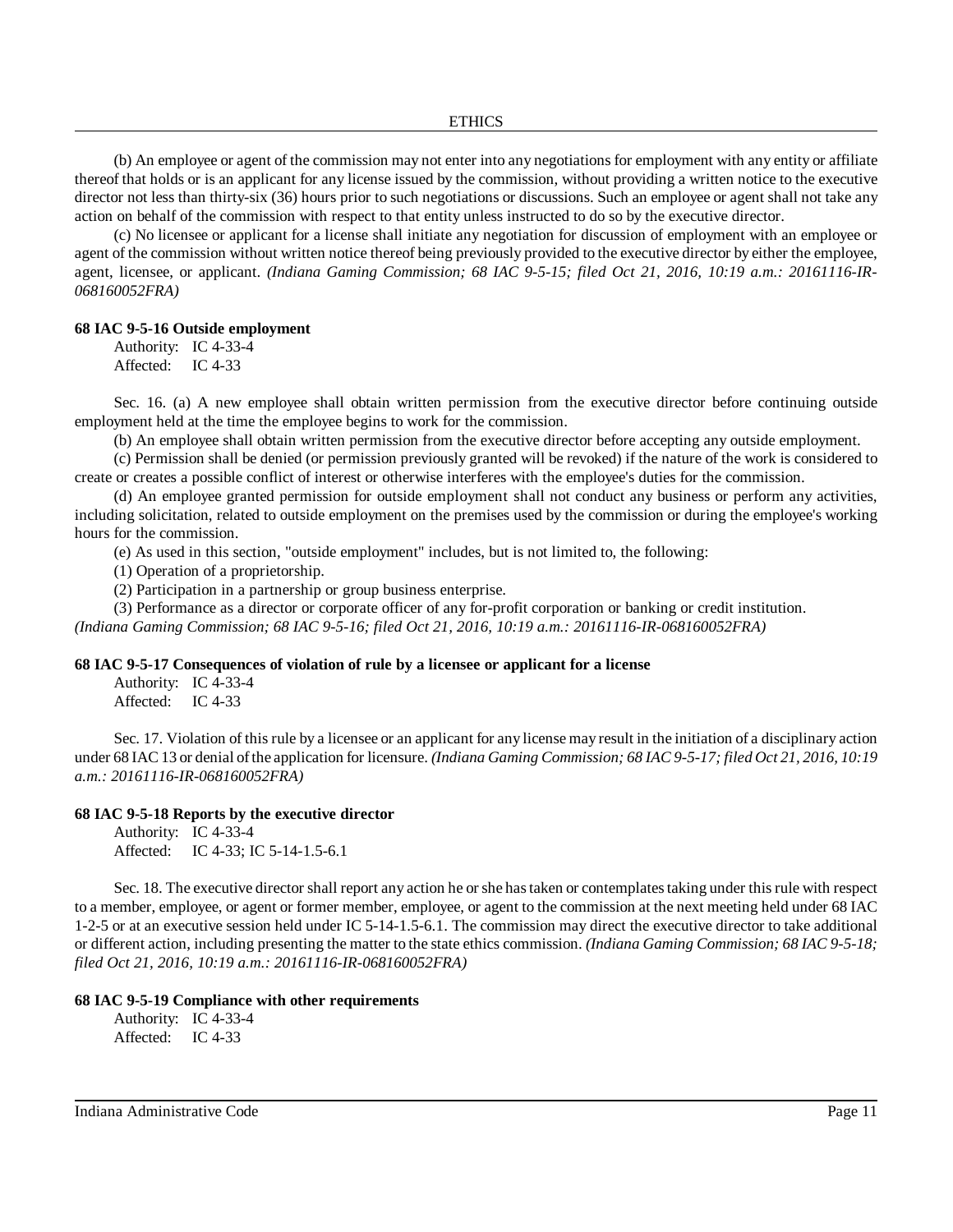(b) An employee or agent of the commission may not enter into any negotiations for employment with any entity or affiliate thereof that holds or is an applicant for any license issued by the commission, without providing a written notice to the executive director not less than thirty-six (36) hours prior to such negotiations or discussions. Such an employee or agent shall not take any action on behalf of the commission with respect to that entity unless instructed to do so by the executive director.

(c) No licensee or applicant for a license shall initiate any negotiation for discussion of employment with an employee or agent of the commission without written notice thereof being previously provided to the executive director by either the employee, agent, licensee, or applicant. *(Indiana Gaming Commission; 68 IAC 9-5-15; filed Oct 21, 2016, 10:19 a.m.: 20161116-IR-068160052FRA)*

#### **68 IAC 9-5-16 Outside employment**

Authority: IC 4-33-4 Affected: IC 4-33

Sec. 16. (a) A new employee shall obtain written permission from the executive director before continuing outside employment held at the time the employee begins to work for the commission.

(b) An employee shall obtain written permission from the executive director before accepting any outside employment.

(c) Permission shall be denied (or permission previously granted will be revoked) if the nature of the work is considered to create or creates a possible conflict of interest or otherwise interferes with the employee's duties for the commission.

(d) An employee granted permission for outside employment shall not conduct any business or perform any activities, including solicitation, related to outside employment on the premises used by the commission or during the employee's working hours for the commission.

(e) As used in this section, "outside employment" includes, but is not limited to, the following:

(1) Operation of a proprietorship.

(2) Participation in a partnership or group business enterprise.

(3) Performance as a director or corporate officer of any for-profit corporation or banking or credit institution.

*(Indiana Gaming Commission; 68 IAC 9-5-16; filed Oct 21, 2016, 10:19 a.m.: 20161116-IR-068160052FRA)*

# **68 IAC 9-5-17 Consequences of violation of rule by a licensee or applicant for a license**

Authority: IC 4-33-4 Affected: IC 4-33

Sec. 17. Violation of this rule by a licensee or an applicant for any license may result in the initiation of a disciplinary action under 68 IAC 13 or denial ofthe application for licensure. *(Indiana Gaming Commission; 68 IAC 9-5-17; filed Oct 21, 2016, 10:19 a.m.: 20161116-IR-068160052FRA)*

#### **68 IAC 9-5-18 Reports by the executive director**

Authority: IC 4-33-4 Affected: IC 4-33; IC 5-14-1.5-6.1

Sec. 18. The executive director shall report any action he orshe hastaken or contemplatestaking under thisrule with respect to a member, employee, or agent or former member, employee, or agent to the commission at the next meeting held under 68 IAC 1-2-5 or at an executive session held under IC 5-14-1.5-6.1. The commission may direct the executive director to take additional or different action, including presenting the matter to the state ethics commission. *(Indiana Gaming Commission; 68 IAC 9-5-18; filed Oct 21, 2016, 10:19 a.m.: 20161116-IR-068160052FRA)*

# **68 IAC 9-5-19 Compliance with other requirements**

Authority: IC 4-33-4 Affected: IC 4-33